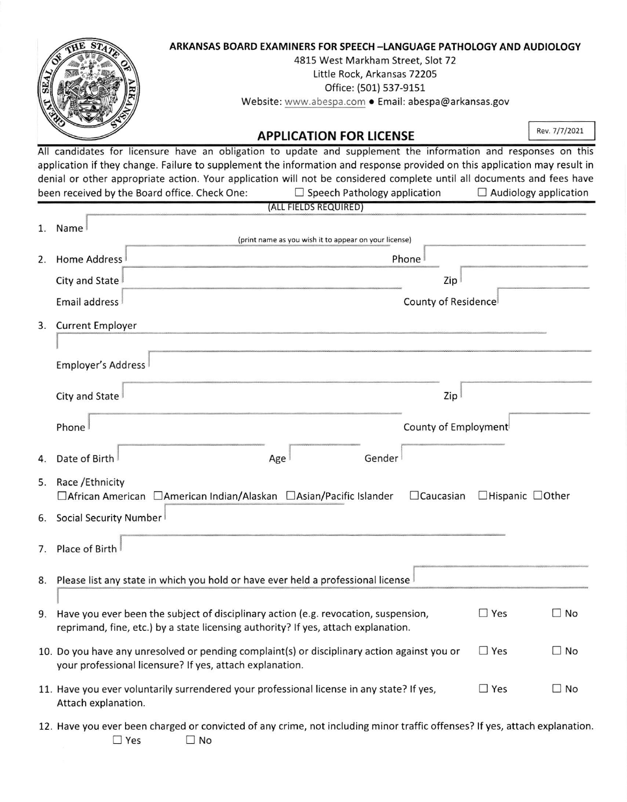

All candidates for licensure have an obligation to update and supplement the information and responses on this application if they change. Failure to supplement the information and response provided on this application may result in denial or other appropriate action. Your application will not be considered complete until all documents and fees have been received by the Board office. Check One:  $\square$  Speech Pathology application  $\square$  Audiology application

(ALL FIELDS REQUIRED)

| 1. | Name<br>(print name as you wish it to appear on your license)                                                                                                                |                      |                              |           |  |  |
|----|------------------------------------------------------------------------------------------------------------------------------------------------------------------------------|----------------------|------------------------------|-----------|--|--|
| 2. | <b>Home Address</b><br>Phone                                                                                                                                                 |                      |                              |           |  |  |
|    | City and State                                                                                                                                                               | Zip                  |                              |           |  |  |
|    | Email address                                                                                                                                                                | County of Residence  |                              |           |  |  |
| 3. | <b>Current Employer</b>                                                                                                                                                      |                      |                              |           |  |  |
|    |                                                                                                                                                                              |                      |                              |           |  |  |
|    | Employer's Address                                                                                                                                                           |                      |                              |           |  |  |
|    | City and State                                                                                                                                                               | Zip                  |                              |           |  |  |
|    | Phone                                                                                                                                                                        | County of Employment |                              |           |  |  |
| 4. | Date of Birth<br>Gender<br>Age                                                                                                                                               |                      |                              |           |  |  |
| 5. | Race / Ethnicity<br>□African American □American Indian/Alaskan □Asian/Pacific Islander                                                                                       | $\Box$ Caucasian     | $\Box$ Hispanic $\Box$ Other |           |  |  |
| 6. | Social Security Number                                                                                                                                                       |                      |                              |           |  |  |
| 7. | Place of Birth                                                                                                                                                               |                      |                              |           |  |  |
| 8. | Please list any state in which you hold or have ever held a professional license                                                                                             |                      |                              |           |  |  |
|    | 9. Have you ever been the subject of disciplinary action (e.g. revocation, suspension,<br>reprimand, fine, etc.) by a state licensing authority? If yes, attach explanation. |                      | $\Box$ Yes                   | $\Box$ No |  |  |
|    | 10. Do you have any unresolved or pending complaint(s) or disciplinary action against you or<br>your professional licensure? If yes, attach explanation.                     | $\Box$ Yes           | $\Box$ No                    |           |  |  |
|    | 11. Have you ever voluntarily surrendered your professional license in any state? If yes,<br>Attach explanation.                                                             |                      | $\square$ Yes                | $\Box$ No |  |  |
|    | 12. Have you ever been charged or convicted of any crime, not including minor traffic offenses? If yes, attach explanation                                                   |                      |                              |           |  |  |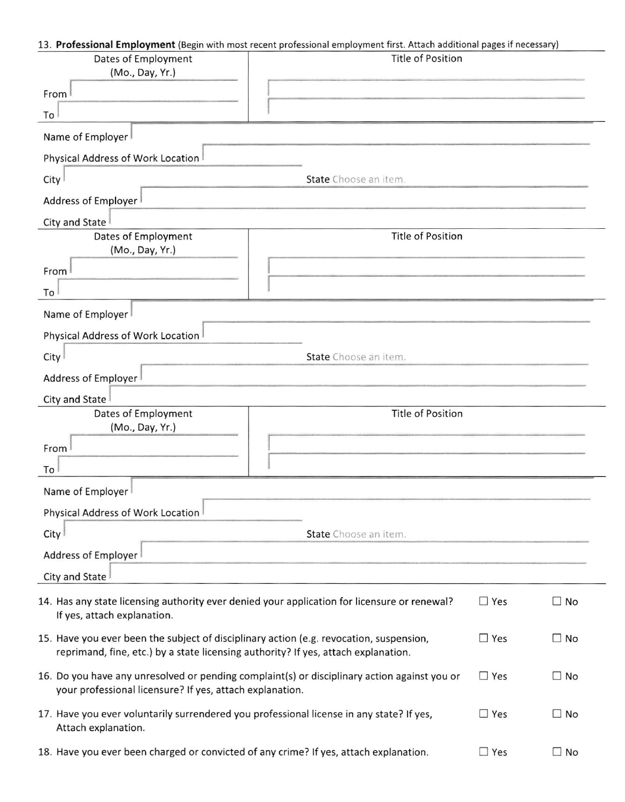## 13. Professional Employment (Begin with most recent professional employment first. Attach additional pages if necessary)

| Dates of Employment<br>(Mo., Day, Yr.)                                                                                                                                        | <b>Title of Position</b> |              |           |  |
|-------------------------------------------------------------------------------------------------------------------------------------------------------------------------------|--------------------------|--------------|-----------|--|
| From                                                                                                                                                                          |                          |              |           |  |
| To                                                                                                                                                                            |                          |              |           |  |
| Name of Employer                                                                                                                                                              |                          |              |           |  |
| Physical Address of Work Location                                                                                                                                             |                          |              |           |  |
| City                                                                                                                                                                          | State Choose an item.    |              |           |  |
| Address of Employer                                                                                                                                                           |                          |              |           |  |
| City and State                                                                                                                                                                |                          |              |           |  |
| Dates of Employment<br>(Mo., Day, Yr.)                                                                                                                                        | <b>Title of Position</b> |              |           |  |
| From                                                                                                                                                                          |                          |              |           |  |
| To                                                                                                                                                                            |                          |              |           |  |
| Name of Employer                                                                                                                                                              |                          |              |           |  |
| Physical Address of Work Location                                                                                                                                             |                          |              |           |  |
| City <sup>1</sup>                                                                                                                                                             | State Choose an item.    |              |           |  |
| Address of Employer                                                                                                                                                           |                          |              |           |  |
| City and State                                                                                                                                                                |                          |              |           |  |
| Dates of Employment<br>(Mo., Day, Yr.)                                                                                                                                        | <b>Title of Position</b> |              |           |  |
| From                                                                                                                                                                          |                          |              |           |  |
| To                                                                                                                                                                            |                          |              |           |  |
| Name of Employer                                                                                                                                                              |                          |              |           |  |
| Physical Address of Work Location                                                                                                                                             |                          |              |           |  |
| City                                                                                                                                                                          | State Choose an item.    |              |           |  |
| Address of Employer                                                                                                                                                           |                          |              |           |  |
| City and State                                                                                                                                                                |                          |              |           |  |
| 14. Has any state licensing authority ever denied your application for licensure or renewal?<br>$\Box$ Yes<br>$\square$ No<br>If yes, attach explanation.                     |                          |              |           |  |
| 15. Have you ever been the subject of disciplinary action (e.g. revocation, suspension,<br>reprimand, fine, etc.) by a state licensing authority? If yes, attach explanation. |                          |              | $\Box$ No |  |
| 16. Do you have any unresolved or pending complaint(s) or disciplinary action against you or<br>your professional licensure? If yes, attach explanation.                      | $\Box$ Yes               | $\square$ No |           |  |
| 17. Have you ever voluntarily surrendered you professional license in any state? If yes,<br>$\Box$ Yes<br>$\square$ No<br>Attach explanation.                                 |                          |              |           |  |
| 18. Have you ever been charged or convicted of any crime? If yes, attach explanation.<br>$\Box$ Yes<br>$\square$ No                                                           |                          |              |           |  |